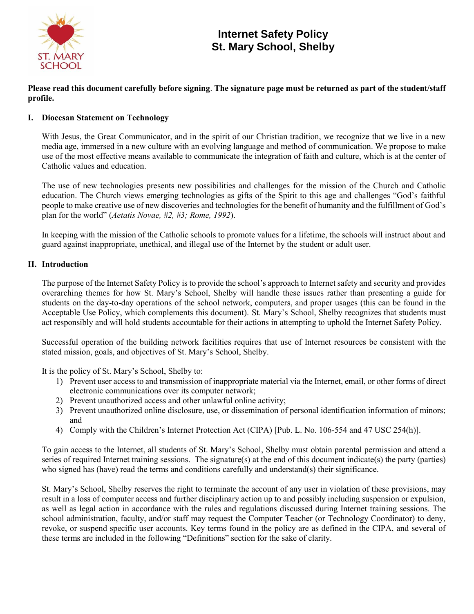

# **Internet Safety Policy St. Mary School, Shelby**

**Please read this document carefully before signing**. **The signature page must be returned as part of the student/staff profile.**

## **I. Diocesan Statement on Technology**

With Jesus, the Great Communicator, and in the spirit of our Christian tradition, we recognize that we live in a new media age, immersed in a new culture with an evolving language and method of communication. We propose to make use of the most effective means available to communicate the integration of faith and culture, which is at the center of Catholic values and education.

The use of new technologies presents new possibilities and challenges for the mission of the Church and Catholic education. The Church views emerging technologies as gifts of the Spirit to this age and challenges "God's faithful people to make creative use of new discoveries and technologies for the benefit of humanity and the fulfillment of God's plan for the world" (*Aetatis Novae, #2, #3; Rome, 1992*).

In keeping with the mission of the Catholic schools to promote values for a lifetime, the schools will instruct about and guard against inappropriate, unethical, and illegal use of the Internet by the student or adult user.

## **II. Introduction**

The purpose of the Internet Safety Policy is to provide the school's approach to Internet safety and security and provides overarching themes for how St. Mary's School, Shelby will handle these issues rather than presenting a guide for students on the day-to-day operations of the school network, computers, and proper usages (this can be found in the Acceptable Use Policy, which complements this document). St. Mary's School, Shelby recognizes that students must act responsibly and will hold students accountable for their actions in attempting to uphold the Internet Safety Policy.

Successful operation of the building network facilities requires that use of Internet resources be consistent with the stated mission, goals, and objectives of St. Mary's School, Shelby.

It is the policy of St. Mary's School, Shelby to:

- 1) Prevent user access to and transmission of inappropriate material via the Internet, email, or other forms of direct electronic communications over its computer network;
- 2) Prevent unauthorized access and other unlawful online activity;
- 3) Prevent unauthorized online disclosure, use, or dissemination of personal identification information of minors; and
- 4) Comply with the Children's Internet Protection Act (CIPA) [Pub. L. No. 106-554 and 47 USC 254(h)].

To gain access to the Internet, all students of St. Mary's School, Shelby must obtain parental permission and attend a series of required Internet training sessions. The signature(s) at the end of this document indicate(s) the party (parties) who signed has (have) read the terms and conditions carefully and understand(s) their significance.

St. Mary's School, Shelby reserves the right to terminate the account of any user in violation of these provisions, may result in a loss of computer access and further disciplinary action up to and possibly including suspension or expulsion, as well as legal action in accordance with the rules and regulations discussed during Internet training sessions. The school administration, faculty, and/or staff may request the Computer Teacher (or Technology Coordinator) to deny, revoke, or suspend specific user accounts. Key terms found in the policy are as defined in the CIPA, and several of these terms are included in the following "Definitions" section for the sake of clarity.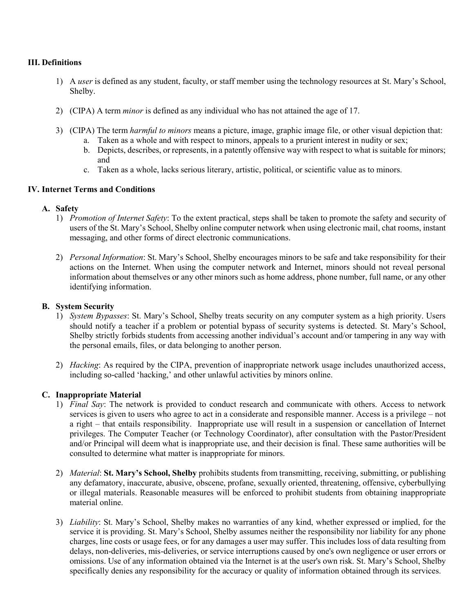## **III. Definitions**

- 1) A *user* is defined as any student, faculty, or staff member using the technology resources at St. Mary's School, Shelby.
- 2) (CIPA) A term *minor* is defined as any individual who has not attained the age of 17.
- 3) (CIPA) The term *harmful to minors* means a picture, image, graphic image file, or other visual depiction that:
	- a. Taken as a whole and with respect to minors, appeals to a prurient interest in nudity or sex;
	- b. Depicts, describes, or represents, in a patently offensive way with respect to what is suitable for minors; and
	- c. Taken as a whole, lacks serious literary, artistic, political, or scientific value as to minors.

## **IV. Internet Terms and Conditions**

## **A. Safety**

- 1) *Promotion of Internet Safety*: To the extent practical, steps shall be taken to promote the safety and security of users of the St. Mary's School, Shelby online computer network when using electronic mail, chat rooms, instant messaging, and other forms of direct electronic communications.
- 2) *Personal Information*: St. Mary's School, Shelby encourages minors to be safe and take responsibility for their actions on the Internet. When using the computer network and Internet, minors should not reveal personal information about themselves or any other minors such as home address, phone number, full name, or any other identifying information.

## **B. System Security**

- 1) *System Bypasses*: St. Mary's School, Shelby treats security on any computer system as a high priority. Users should notify a teacher if a problem or potential bypass of security systems is detected. St. Mary's School, Shelby strictly forbids students from accessing another individual's account and/or tampering in any way with the personal emails, files, or data belonging to another person.
- 2) *Hacking*: As required by the CIPA, prevention of inappropriate network usage includes unauthorized access, including so-called 'hacking,' and other unlawful activities by minors online.

# **C. Inappropriate Material**

- 1) *Final Say*: The network is provided to conduct research and communicate with others. Access to network services is given to users who agree to act in a considerate and responsible manner. Access is a privilege – not a right – that entails responsibility. Inappropriate use will result in a suspension or cancellation of Internet privileges. The Computer Teacher (or Technology Coordinator), after consultation with the Pastor/President and/or Principal will deem what is inappropriate use, and their decision is final. These same authorities will be consulted to determine what matter is inappropriate for minors.
- 2) *Material*: **St. Mary's School, Shelby** prohibits students from transmitting, receiving, submitting, or publishing any defamatory, inaccurate, abusive, obscene, profane, sexually oriented, threatening, offensive, cyberbullying or illegal materials. Reasonable measures will be enforced to prohibit students from obtaining inappropriate material online.
- 3) *Liability*: St. Mary's School, Shelby makes no warranties of any kind, whether expressed or implied, for the service it is providing. St. Mary's School, Shelby assumes neither the responsibility nor liability for any phone charges, line costs or usage fees, or for any damages a user may suffer. This includes loss of data resulting from delays, non-deliveries, mis-deliveries, or service interruptions caused by one's own negligence or user errors or omissions. Use of any information obtained via the Internet is at the user's own risk. St. Mary's School, Shelby specifically denies any responsibility for the accuracy or quality of information obtained through its services.